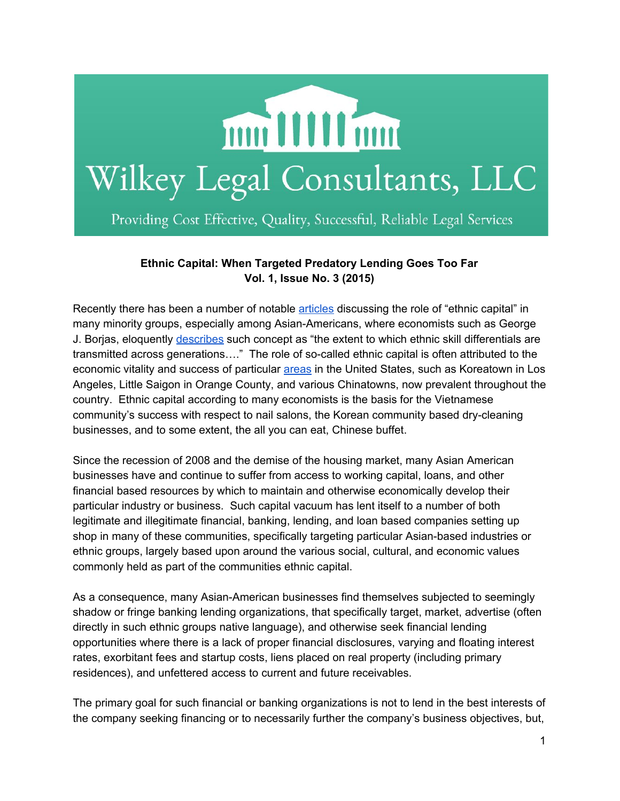

## **Ethnic Capital: When Targeted Predatory Lending Goes Too Far Vol. 1, Issue No. 3 (2015)**

Recently there has been a number of notable [articles](http://www.cnn.com/2015/08/03/opinions/lee-immigration-ethnic-capital/) discussing the role of "ethnic capital" in many minority groups, especially among Asian-Americans, where economists such as George J. Borjas, eloquently [describes](http://www.uh.edu/~adkugler/Borjas_1992.pdf) such concept as "the extent to which ethnic skill differentials are transmitted across generations...." The role of so-called ethnic capital is often attributed to the economic vitality and success of particular [areas](http://www.cnn.com/2015/08/03/opinions/lee-immigration-ethnic-capital/) in the United States, such as Koreatown in Los Angeles, Little Saigon in Orange County, and various Chinatowns, now prevalent throughout the country. Ethnic capital according to many economists is the basis for the Vietnamese community's success with respect to nail salons, the Korean community based dry-cleaning businesses, and to some extent, the all you can eat, Chinese buffet.

Since the recession of 2008 and the demise of the housing market, many Asian American businesses have and continue to suffer from access to working capital, loans, and other financial based resources by which to maintain and otherwise economically develop their particular industry or business. Such capital vacuum has lent itself to a number of both legitimate and illegitimate financial, banking, lending, and loan based companies setting up shop in many of these communities, specifically targeting particular Asian-based industries or ethnic groups, largely based upon around the various social, cultural, and economic values commonly held as part of the communities ethnic capital.

As a consequence, many Asian-American businesses find themselves subjected to seemingly shadow or fringe banking lending organizations, that specifically target, market, advertise (often directly in such ethnic groups native language), and otherwise seek financial lending opportunities where there is a lack of proper financial disclosures, varying and floating interest rates, exorbitant fees and startup costs, liens placed on real property (including primary residences), and unfettered access to current and future receivables.

The primary goal for such financial or banking organizations is not to lend in the best interests of the company seeking financing or to necessarily further the company's business objectives, but,